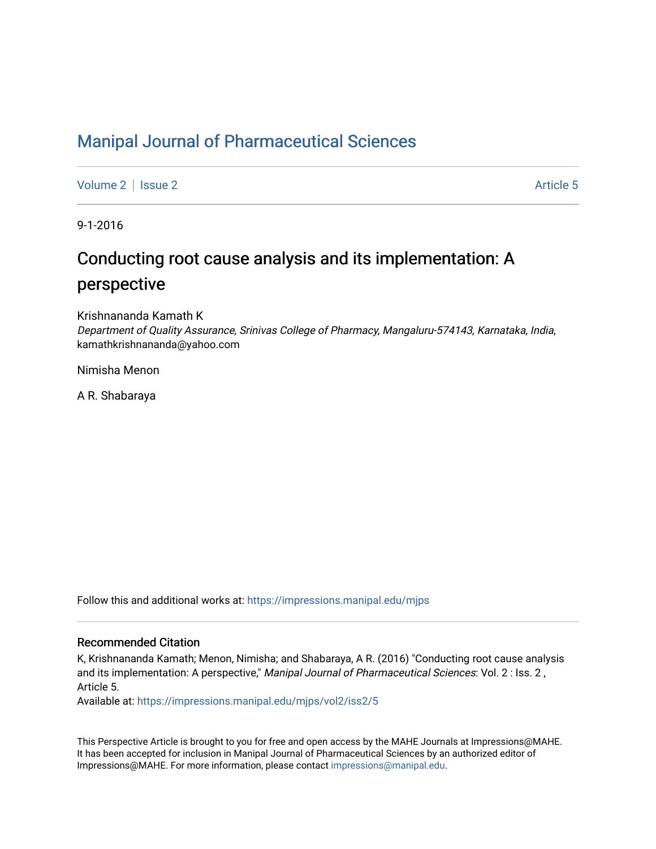# [Manipal Journal of Pharmaceutical Sciences](https://impressions.manipal.edu/mjps)

[Volume 2](https://impressions.manipal.edu/mjps/vol2) | [Issue 2](https://impressions.manipal.edu/mjps/vol2/iss2) Article 5

9-1-2016

# Conducting root cause analysis and its implementation: A perspective

Krishnananda Kamath K Department of Quality Assurance, Srinivas College of Pharmacy, Mangaluru-574143, Karnataka, India, kamathkrishnananda@yahoo.com

Nimisha Menon

A R. Shabaraya

Follow this and additional works at: [https://impressions.manipal.edu/mjps](https://impressions.manipal.edu/mjps?utm_source=impressions.manipal.edu%2Fmjps%2Fvol2%2Fiss2%2F5&utm_medium=PDF&utm_campaign=PDFCoverPages)

#### Recommended Citation

K, Krishnananda Kamath; Menon, Nimisha; and Shabaraya, A R. (2016) "Conducting root cause analysis and its implementation: A perspective," Manipal Journal of Pharmaceutical Sciences: Vol. 2 : Iss. 2, Article 5.

Available at: [https://impressions.manipal.edu/mjps/vol2/iss2/5](https://impressions.manipal.edu/mjps/vol2/iss2/5?utm_source=impressions.manipal.edu%2Fmjps%2Fvol2%2Fiss2%2F5&utm_medium=PDF&utm_campaign=PDFCoverPages)

This Perspective Article is brought to you for free and open access by the MAHE Journals at Impressions@MAHE. It has been accepted for inclusion in Manipal Journal of Pharmaceutical Sciences by an authorized editor of Impressions@MAHE. For more information, please contact [impressions@manipal.edu](mailto:impressions@manipal.edu).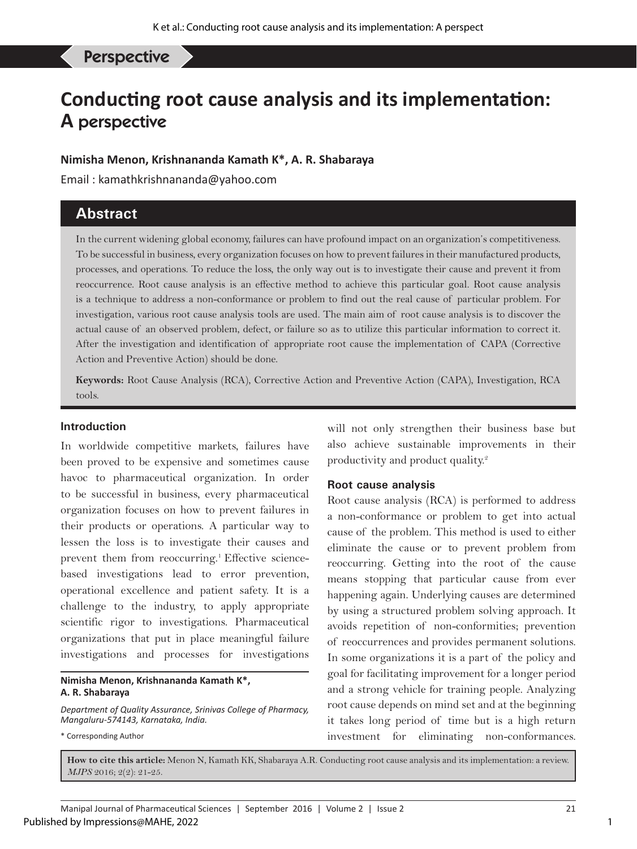**Perspective** 

# **Conducting root cause analysis and its implementation: A** perspective

# **Nimisha Menon, Krishnananda Kamath K\*, A. R. Shabaraya**

Email : kamathkrishnananda@yahoo.com

# **Abstract**

In the current widening global economy, failures can have profound impact on an organization's competitiveness. To be successful in business, every organization focuses on how to prevent failures in their manufactured products, processes, and operations. To reduce the loss, the only way out is to investigate their cause and prevent it from reoccurrence. Root cause analysis is an effective method to achieve this particular goal. Root cause analysis is a technique to address a non-conformance or problem to find out the real cause of particular problem. For investigation, various root cause analysis tools are used. The main aim of root cause analysis is to discover the actual cause of an observed problem, defect, or failure so as to utilize this particular information to correct it. After the investigation and identification of appropriate root cause the implementation of CAPA (Corrective Action and Preventive Action) should be done.

**Keywords:** Root Cause Analysis (RCA), Corrective Action and Preventive Action (CAPA), Investigation, RCA tools.

#### **Introduction**

In worldwide competitive markets, failures have been proved to be expensive and sometimes cause havoc to pharmaceutical organization. In order to be successful in business, every pharmaceutical organization focuses on how to prevent failures in their products or operations. A particular way to lessen the loss is to investigate their causes and prevent them from reoccurring.<sup>1</sup> Effective sciencebased investigations lead to error prevention, operational excellence and patient safety. It is a challenge to the industry, to apply appropriate scientific rigor to investigations. Pharmaceutical organizations that put in place meaningful failure investigations and processes for investigations

**Nimisha Menon, Krishnananda Kamath K\*, A. R. Shabaraya**

*Department of Quality Assurance, Srinivas College of Pharmacy, Mangaluru-574143, Karnataka, India.*

\* Corresponding Author

will not only strengthen their business base but also achieve sustainable improvements in their productivity and product quality.<sup>2</sup>

#### **Root cause analysis**

Root cause analysis (RCA) is performed to address a non-conformance or problem to get into actual cause of the problem. This method is used to either eliminate the cause or to prevent problem from reoccurring. Getting into the root of the cause means stopping that particular cause from ever happening again. Underlying causes are determined by using a structured problem solving approach. It avoids repetition of non-conformities; prevention of reoccurrences and provides permanent solutions. In some organizations it is a part of the policy and goal for facilitating improvement for a longer period and a strong vehicle for training people. Analyzing root cause depends on mind set and at the beginning it takes long period of time but is a high return investment for eliminating non-conformances.

**How to cite this article:** Menon N, Kamath KK, Shabaraya A.R. Conducting root cause analysis and its implementation: a review. *MJPS* 2016; 2(2): 21-25.

1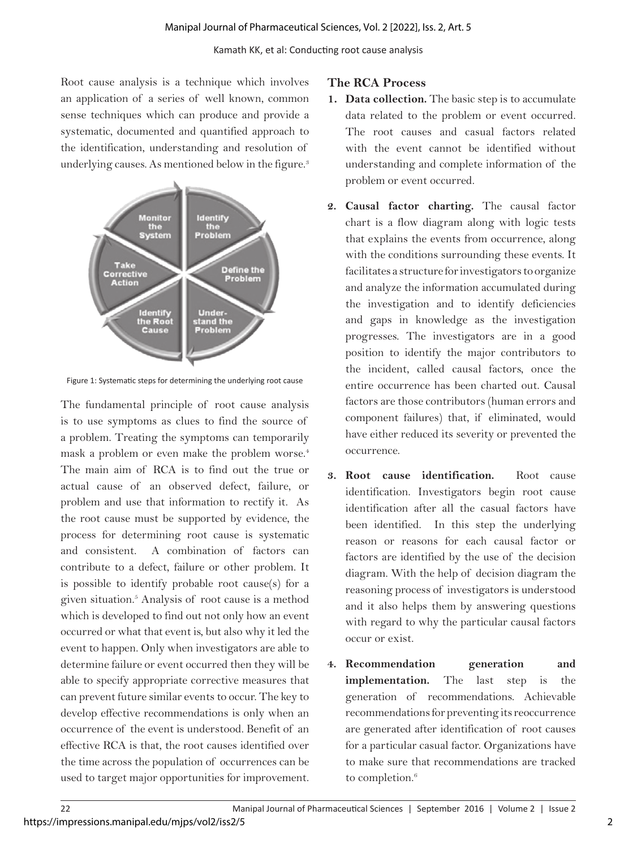Root cause analysis is a technique which involves an application of a series of well known, common sense techniques which can produce and provide a systematic, documented and quantified approach to the identification, understanding and resolution of underlying causes. As mentioned below in the figure.<sup>3</sup>



Figure 1: Systematic steps for determining the underlying root cause

The fundamental principle of root cause analysis is to use symptoms as clues to find the source of a problem. Treating the symptoms can temporarily mask a problem or even make the problem worse.<sup>4</sup> The main aim of RCA is to find out the true or actual cause of an observed defect, failure, or problem and use that information to rectify it. As the root cause must be supported by evidence, the process for determining root cause is systematic and consistent. A combination of factors can contribute to a defect, failure or other problem. It is possible to identify probable root cause(s) for a given situation.5 Analysis of root cause is a method which is developed to find out not only how an event occurred or what that event is, but also why it led the event to happen. Only when investigators are able to determine failure or event occurred then they will be able to specify appropriate corrective measures that can prevent future similar events to occur. The key to develop effective recommendations is only when an occurrence of the event is understood. Benefit of an effective RCA is that, the root causes identified over the time across the population of occurrences can be used to target major opportunities for improvement.

#### **The RCA Process**

- **1. Data collection.** The basic step is to accumulate data related to the problem or event occurred. The root causes and casual factors related with the event cannot be identified without understanding and complete information of the problem or event occurred.
- **2. Causal factor charting.** The causal factor chart is a flow diagram along with logic tests that explains the events from occurrence, along with the conditions surrounding these events. It facilitates a structure for investigators to organize and analyze the information accumulated during the investigation and to identify deficiencies and gaps in knowledge as the investigation progresses. The investigators are in a good position to identify the major contributors to the incident, called causal factors, once the entire occurrence has been charted out. Causal factors are those contributors (human errors and component failures) that, if eliminated, would have either reduced its severity or prevented the occurrence.
- **3. Root cause identification.** Root cause identification. Investigators begin root cause identification after all the casual factors have been identified. In this step the underlying reason or reasons for each causal factor or factors are identified by the use of the decision diagram. With the help of decision diagram the reasoning process of investigators is understood and it also helps them by answering questions with regard to why the particular causal factors occur or exist.
- **4. Recommendation generation and implementation.** The last step is the generation of recommendations. Achievable recommendations for preventing its reoccurrence are generated after identification of root causes for a particular casual factor. Organizations have to make sure that recommendations are tracked to completion.<sup>6</sup>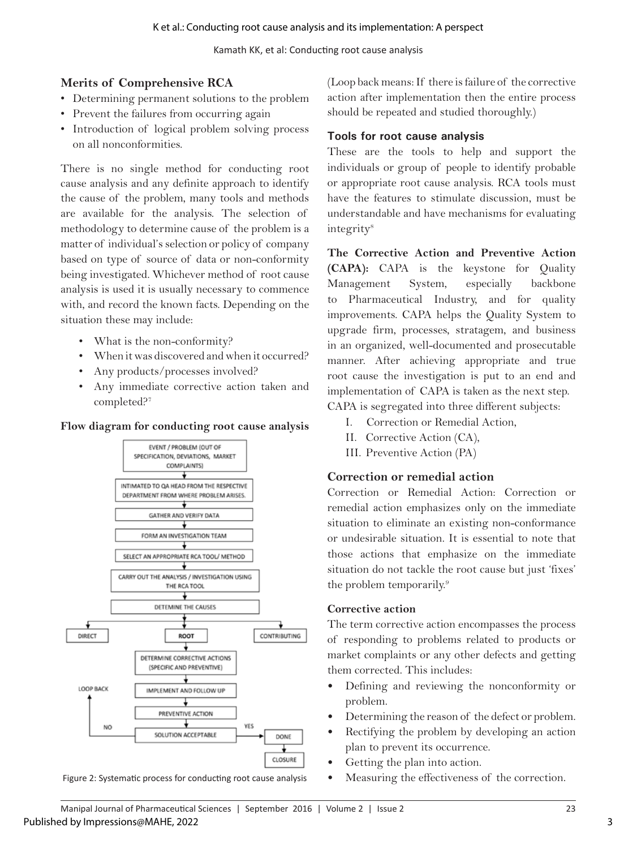Kamath KK, et al: Conducting root cause analysis

# **Merits of Comprehensive RCA**

- Determining permanent solutions to the problem
- Prevent the failures from occurring again
- Introduction of logical problem solving process on all nonconformities.

There is no single method for conducting root cause analysis and any definite approach to identify the cause of the problem, many tools and methods are available for the analysis. The selection of methodology to determine cause of the problem is a matter of individual's selection or policy of company based on type of source of data or non-conformity being investigated. Whichever method of root cause analysis is used it is usually necessary to commence with, and record the known facts. Depending on the situation these may include:

- What is the non-conformity?
- When it was discovered and when it occurred?
- Any products/processes involved?
- Any immediate corrective action taken and completed?7

#### **Flow diagram for conducting root cause analysis**



Figure 2: Systematic process for conducting root cause analysis

(Loop back means: If there is failure of the corrective action after implementation then the entire process should be repeated and studied thoroughly.)

#### **Tools for root cause analysis**

These are the tools to help and support the individuals or group of people to identify probable or appropriate root cause analysis. RCA tools must have the features to stimulate discussion, must be understandable and have mechanisms for evaluating integrity<sup>8</sup>

**The Corrective Action and Preventive Action (CAPA):** CAPA is the keystone for Quality Management System, especially backbone to Pharmaceutical Industry, and for quality improvements. CAPA helps the Quality System to upgrade firm, processes, stratagem, and business in an organized, well-documented and prosecutable manner. After achieving appropriate and true root cause the investigation is put to an end and implementation of CAPA is taken as the next step. CAPA is segregated into three different subjects:

- I. Correction or Remedial Action,
- II. Corrective Action (CA),
- III. Preventive Action (PA)

# **Correction or remedial action**

Correction or Remedial Action: Correction or remedial action emphasizes only on the immediate situation to eliminate an existing non-conformance or undesirable situation. It is essential to note that those actions that emphasize on the immediate situation do not tackle the root cause but just 'fixes' the problem temporarily.<sup>9</sup>

#### **Corrective action**

The term corrective action encompasses the process of responding to problems related to products or market complaints or any other defects and getting them corrected. This includes:

- Defining and reviewing the nonconformity or problem.
- Determining the reason of the defect or problem.
- Rectifying the problem by developing an action plan to prevent its occurrence.
- Getting the plan into action.
- Measuring the effectiveness of the correction.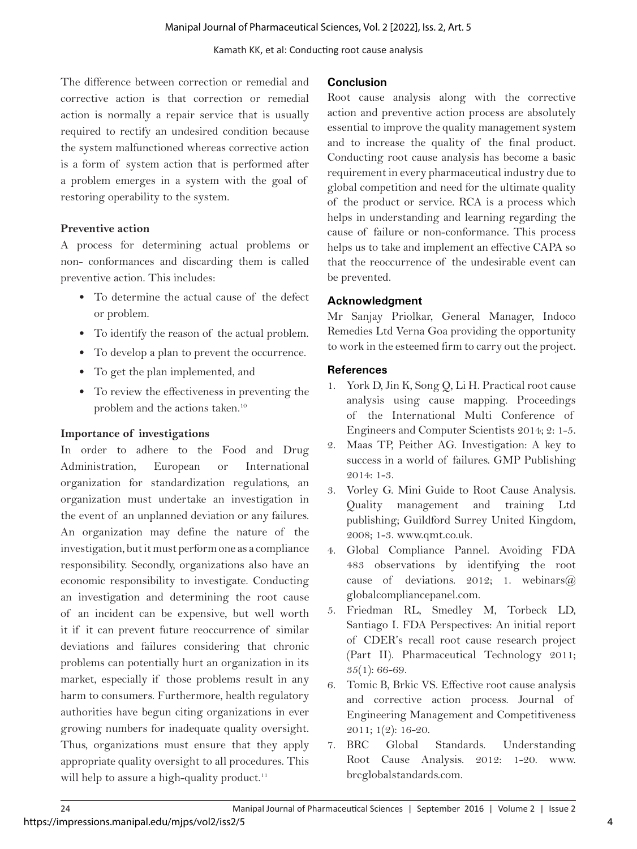Kamath KK, et al: Conducting root cause analysis

The difference between correction or remedial and corrective action is that correction or remedial action is normally a repair service that is usually required to rectify an undesired condition because the system malfunctioned whereas corrective action is a form of system action that is performed after a problem emerges in a system with the goal of restoring operability to the system.

### **Preventive action**

A process for determining actual problems or non- conformances and discarding them is called preventive action. This includes:

- To determine the actual cause of the defect or problem.
- To identify the reason of the actual problem.
- To develop a plan to prevent the occurrence.
- To get the plan implemented, and
- To review the effectiveness in preventing the problem and the actions taken.10

# **Importance of investigations**

In order to adhere to the Food and Drug Administration, European or International organization for standardization regulations, an organization must undertake an investigation in the event of an unplanned deviation or any failures. An organization may define the nature of the investigation, but it must perform one as a compliance responsibility. Secondly, organizations also have an economic responsibility to investigate. Conducting an investigation and determining the root cause of an incident can be expensive, but well worth it if it can prevent future reoccurrence of similar deviations and failures considering that chronic problems can potentially hurt an organization in its market, especially if those problems result in any harm to consumers. Furthermore, health regulatory authorities have begun citing organizations in ever growing numbers for inadequate quality oversight. Thus, organizations must ensure that they apply appropriate quality oversight to all procedures. This will help to assure a high-quality product.<sup>11</sup>

### **Conclusion**

Root cause analysis along with the corrective action and preventive action process are absolutely essential to improve the quality management system and to increase the quality of the final product. Conducting root cause analysis has become a basic requirement in every pharmaceutical industry due to global competition and need for the ultimate quality of the product or service. RCA is a process which helps in understanding and learning regarding the cause of failure or non-conformance. This process helps us to take and implement an effective CAPA so that the reoccurrence of the undesirable event can be prevented.

# **Acknowledgment**

Mr Sanjay Priolkar, General Manager, Indoco Remedies Ltd Verna Goa providing the opportunity to work in the esteemed firm to carry out the project.

# **References**

- 1. York D, Jin K, Song Q, Li H. Practical root cause analysis using cause mapping. Proceedings of the International Multi Conference of Engineers and Computer Scientists 2014; 2: 1-5.
- 2. Maas TP, Peither AG. Investigation: A key to success in a world of failures. GMP Publishing 2014: 1-3.
- 3. Vorley G. Mini Guide to Root Cause Analysis. Quality management and training Ltd publishing; Guildford Surrey United Kingdom, 2008; 1-3. www.qmt.co.uk.
- 4. Global Compliance Pannel. Avoiding FDA 483 observations by identifying the root cause of deviations. 2012; 1. webinars $(\widehat{a})$ globalcompliancepanel.com.
- 5. Friedman RL, Smedley M, Torbeck LD, Santiago I. FDA Perspectives: An initial report of CDER's recall root cause research project (Part II). Pharmaceutical Technology 2011; 35(1): 66-69.
- 6. Tomic B, Brkic VS. Effective root cause analysis and corrective action process. Journal of Engineering Management and Competitiveness 2011; 1(2): 16-20.
- 7. BRC Global Standards. Understanding Root Cause Analysis. 2012: 1-20. www. brcglobalstandards.com.